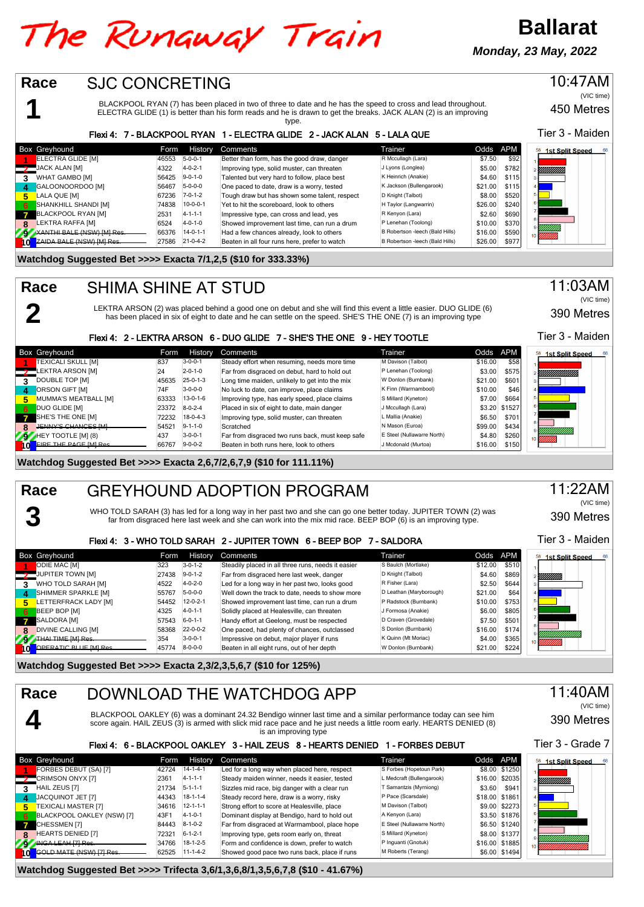## The Runaway Train

**Monday, 23 May, 2022**

**Ballarat**

| Race<br><b>SJC CONCRETING</b>                                       |                                                      |                                                                                                                                                                                                                                         |                                                   |                                     | 10:47AM                       |
|---------------------------------------------------------------------|------------------------------------------------------|-----------------------------------------------------------------------------------------------------------------------------------------------------------------------------------------------------------------------------------------|---------------------------------------------------|-------------------------------------|-------------------------------|
|                                                                     |                                                      |                                                                                                                                                                                                                                         |                                                   |                                     | (VIC time)                    |
|                                                                     |                                                      | BLACKPOOL RYAN (7) has been placed in two of three to date and he has the speed to cross and lead throughout.<br>ELECTRA GLIDE (1) is better than his form reads and he is drawn to get the breaks. JACK ALAN (2) is an improving       |                                                   |                                     | 450 Metres                    |
|                                                                     |                                                      | type.                                                                                                                                                                                                                                   |                                                   |                                     |                               |
|                                                                     |                                                      | Flexi 4: 7 - BLACKPOOL RYAN 1 - ELECTRA GLIDE 2 - JACK ALAN 5 - LALA QUE                                                                                                                                                                |                                                   |                                     | Tier 3 - Maiden               |
| Box Greyhound                                                       | History<br>Form                                      | Comments                                                                                                                                                                                                                                | Trainer                                           | Odds<br><b>APM</b>                  |                               |
| ELECTRA GLIDE [M]                                                   | $5 - 0 - 0 - 1$<br>46553                             | Better than form, has the good draw, danger                                                                                                                                                                                             | R Mccullagh (Lara)                                | \$7.50<br>\$92                      | <sup>58</sup> 1st Split Speed |
| JACK ALAN [M]                                                       | 4322<br>$4 - 0 - 2 - 1$                              | Improving type, solid muster, can threaten                                                                                                                                                                                              | J Lyons (Longlea)                                 | \$5.00<br>\$782                     | VIIIIIIIIII                   |
| <b>WHAT GAMBO [M]</b><br>3                                          | $9 - 0 - 1 - 0$<br>56425                             | Talented but very hard to follow, place best                                                                                                                                                                                            | K Heinrich (Anakie)                               | \$4.60<br>\$115                     |                               |
| GALOONOORDOO [M]<br>4                                               | $5 - 0 - 0 - 0$<br>56467                             | One paced to date, draw is a worry, tested                                                                                                                                                                                              | K Jackson (Bullengarook)                          | \$21.00<br>\$115                    |                               |
| LALA QUE [M]<br>5.                                                  | 67236<br>$7 - 0 - 1 - 2$                             | Tough draw but has shown some talent, respect                                                                                                                                                                                           | D Knight (Talbot)                                 | \$8.00<br>\$520                     |                               |
| SHANKHILL SHANDI [M]<br>6                                           | $10-0-0-1$<br>74838<br>2531<br>$4 - 1 - 1 - 1$       | Yet to hit the scoreboard, look to others                                                                                                                                                                                               | H Taylor (Langwarrin)<br>R Kenyon (Lara)          | \$26.00<br>\$240<br>\$2.60<br>\$690 |                               |
| <b>BLACKPOOL RYAN [M]</b><br>7<br>LEKTRA RAFFA [M]<br>8             | 6524<br>$4 - 0 - 1 - 0$                              | Impressive type, can cross and lead, yes<br>Showed improvement last time, can run a drum                                                                                                                                                | P Lenehan (Toolong)                               | \$10.00<br>\$370                    |                               |
| XANTHI BALE (NSW) IMI Res<br>ZS.                                    | 66376<br>$14 - 0 - 1 - 1$                            | Had a few chances already, look to others                                                                                                                                                                                               | B Robertson -leech (Bald Hills)                   | \$16.00<br>\$590                    |                               |
| ZAIDA BALE (NSW) [M] Res<br>10                                      | 27586<br>$21 - 0 - 4 - 2$                            | Beaten in all four runs here, prefer to watch                                                                                                                                                                                           | B Robertson -leech (Bald Hills)                   | \$26.00<br>\$977                    |                               |
| Watchdog Suggested Bet >>>> Exacta 7/1,2,5 (\$10 for 333.33%)       |                                                      |                                                                                                                                                                                                                                         |                                                   |                                     |                               |
| Race                                                                | <b>SHIMA SHINE AT STUD</b>                           |                                                                                                                                                                                                                                         |                                                   |                                     | 11:03AM                       |
|                                                                     |                                                      |                                                                                                                                                                                                                                         |                                                   |                                     | (VIC time)                    |
|                                                                     |                                                      | LEKTRA ARSON (2) was placed behind a good one on debut and she will find this event a little easier. DUO GLIDE (6)<br>has been placed in six of eight to date and he can settle on the speed. SHE'S THE ONE (7) is an improving type    |                                                   |                                     | 390 Metres                    |
|                                                                     |                                                      | Flexi 4: 2 - LEKTRA ARSON 6 - DUO GLIDE 7 - SHE'S THE ONE 9 - HEY TOOTLE                                                                                                                                                                |                                                   |                                     | Tier 3 - Maiden               |
| Box Greyhound                                                       | Form<br>History                                      | Comments                                                                                                                                                                                                                                | Trainer                                           | Odds<br><b>APM</b>                  | <sup>58</sup> 1st Split Speed |
| TEXICALI SKULL [M]                                                  | $3 - 0 - 0 - 1$<br>837                               | Steady effort when resuming, needs more time                                                                                                                                                                                            | M Davison (Talbot)                                | \$58<br>\$16.00                     |                               |
| LEKTRA ARSON [M]<br>DOUBLE TOP [M]                                  | 24<br>$2 - 0 - 1 - 0$<br>$25 - 0 - 1 - 3$<br>45635   | Far from disgraced on debut, hard to hold out<br>Long time maiden, unlikely to get into the mix                                                                                                                                         | P Lenehan (Toolong)<br>W Donlon (Burnbank)        | \$3.00<br>\$575<br>\$21.00<br>\$601 | !!!!!!!!!!!!!                 |
| 3<br>4 ORSON GIFT [M]                                               | $3 - 0 - 0 - 0$<br>74F                               | No luck to date, can improve, place claims                                                                                                                                                                                              | K Finn (Warrnambool)                              | \$10.00<br>\$46                     |                               |
| MUMMA'S MEATBALL [M]<br>5.                                          | 63333<br>$13 - 0 - 1 - 6$                            | Improving type, has early speed, place claims                                                                                                                                                                                           | S Millard (Kyneton)                               | \$7.00<br>\$664                     |                               |
| <b>DUO GLIDE [M]</b><br>6                                           | $8 - 0 - 2 - 4$<br>23372                             | Placed in six of eight to date, main danger                                                                                                                                                                                             | J Mccullagh (Lara)                                | \$3.20<br>\$1527                    |                               |
| SHE'S THE ONE [M]<br>7                                              | 72232<br>$18 - 0 - 4 - 3$                            | Improving type, solid muster, can threaten                                                                                                                                                                                              | L Mallia (Anakie)                                 | \$6.50<br>\$701                     |                               |
| <b>JENNY'S CHANCES IML</b><br>8                                     | 54521<br>$9 - 1 - 1 - 0$                             | Scratched                                                                                                                                                                                                                               | N Mason (Euroa)                                   | \$99.00<br>\$434                    |                               |
| HEY TOOTLE [M] (8)<br><b>FIRE THE PAGE IMI Res</b>                  | 437<br>$3 - 0 - 0 - 1$<br>66767<br>$9 - 0 - 0 - 2$   | Far from disgraced two runs back, must keep safe                                                                                                                                                                                        | E Steel (Nullawarre North)<br>J Mcdonald (Murtoa) | \$4.80<br>\$260<br>\$16.00<br>\$150 |                               |
| 10                                                                  |                                                      | Beaten in both runs here, look to others                                                                                                                                                                                                |                                                   |                                     |                               |
| Watchdog Suggested Bet >>>> Exacta 2,6,7/2,6,7,9 (\$10 for 111.11%) |                                                      |                                                                                                                                                                                                                                         |                                                   |                                     |                               |
|                                                                     |                                                      |                                                                                                                                                                                                                                         |                                                   |                                     |                               |
|                                                                     |                                                      |                                                                                                                                                                                                                                         |                                                   |                                     |                               |
| Race                                                                |                                                      | <b>GREYHOUND ADOPTION PROGRAM</b>                                                                                                                                                                                                       |                                                   |                                     | 11:22AM<br>(VIC time)         |
|                                                                     |                                                      | WHO TOLD SARAH (3) has led for a long way in her past two and she can go one better today. JUPITER TOWN (2) was<br>far from disgraced here last week and she can work into the mix mid race. BEEP BOP (6) is an improving type.         |                                                   |                                     | 390 Metres                    |
|                                                                     |                                                      | Flexi 4: 3 - WHO TOLD SARAH 2 - JUPITER TOWN 6 - BEEP BOP 7 - SALDORA                                                                                                                                                                   |                                                   |                                     | Tier 3 - Maiden               |
| Box Greyhound                                                       | History<br>Form                                      | Comments                                                                                                                                                                                                                                | Trainer                                           | <b>APM</b><br>Odds                  |                               |
| ODIE MAC [M]                                                        | $3 - 0 - 1 - 2$<br>323                               | Steadily placed in all three runs, needs it easier                                                                                                                                                                                      | S Baulch (Mortlake)                               | \$510<br>\$12.00                    | <sup>58</sup> 1st Split Speed |
| JUPITER TOWN [M]                                                    | $9 - 0 - 1 - 2$<br>27438                             | Far from disgraced here last week, danger                                                                                                                                                                                               | D Knight (Talbot)                                 | \$4.60<br>\$869                     | !!!!!!!!!!                    |
| WHO TOLD SARAH [M]<br>3                                             | 4522<br>$4 - 0 - 2 - 0$                              | Led for a long way in her past two, looks good                                                                                                                                                                                          | R Fisher (Lara)                                   | \$2.50<br>\$644                     |                               |
| SHIMMER SPARKLE [M]                                                 | $5 - 0 - 0 - 0$<br>55767                             | Well down the track to date, needs to show more                                                                                                                                                                                         | D Leathan (Maryborough)<br>P Radstock (Burnbank)  | \$21.00<br>\$64                     |                               |
| LETTERFRACK LADY [M]<br>5                                           | $12 - 0 - 2 - 1$<br>54452<br>$4 - 0 - 1 - 1$<br>4325 | Showed improvement last time, can run a drum<br>Solidly placed at Healesville, can threaten                                                                                                                                             | J Formosa (Anakie)                                | \$10.00<br>\$753<br>\$805<br>\$6.00 |                               |
| BEEP BOP [M]<br>6<br>SALDORA [M]<br>7                               | $6 - 0 - 1 - 1$<br>57543                             | Handy effort at Geelong, must be respected                                                                                                                                                                                              | D Craven (Grovedale)                              | \$501<br>\$7.50                     |                               |
| <b>DIVINE CALLING [M]</b><br>8                                      | 58368<br>$22 - 0 - 0 - 2$                            | One paced, had plenty of chances, outclassed                                                                                                                                                                                            | S Donlon (Burnbank)                               | \$16.00<br>\$174                    |                               |
| THAI TIME [M] Res                                                   | 354<br>$3 - 0 - 0 - 1$                               | Impressive on debut, major player if runs                                                                                                                                                                                               | K Quinn (Mt Moriac)                               | \$365<br>\$4.00                     |                               |
| OPERATIC BLUE [M] Res<br>10                                         | 45774<br>$8 - 0 - 0 - 0$                             | Beaten in all eight runs, out of her depth                                                                                                                                                                                              | W Donlon (Burnbank)                               | \$21.00<br>\$224                    |                               |
| Watchdog Suggested Bet >>>> Exacta 2,3/2,3,5,6,7 (\$10 for 125%)    |                                                      |                                                                                                                                                                                                                                         |                                                   |                                     |                               |
|                                                                     |                                                      |                                                                                                                                                                                                                                         |                                                   |                                     |                               |
| Race                                                                |                                                      | DOWNLOAD THE WATCHDOG APP                                                                                                                                                                                                               |                                                   |                                     | 11:40AM<br>(VIC time)         |
|                                                                     |                                                      | BLACKPOOL OAKLEY (6) was a dominant 24.32 Bendigo winner last time and a similar performance today can see him<br>score again. HAIL ZEUS (3) is armed with slick mid race pace and he just needs a little room early. HEARTS DENIED (8) |                                                   |                                     | 390 Metres                    |
|                                                                     |                                                      | is an improving type<br>Flexi 4: 6 - BLACKPOOL OAKLEY 3 - HAIL ZEUS 8 - HEARTS DENIED 1 - FORBES DEBUT                                                                                                                                  |                                                   |                                     | Tier 3 - Grade 7              |
| Box Greyhound                                                       | History<br>Form                                      | Comments                                                                                                                                                                                                                                | Trainer                                           | Odds APM                            | <sup>58</sup> 1st Split Speed |
| FORBES DEBUT (SA) [7]                                               | $14 - 1 - 4 - 1$<br>42724                            | Led for a long way when placed here, respect                                                                                                                                                                                            | S Forbes (Hopetoun Park)                          | \$8.00 \$1250                       |                               |
| CRIMSON ONYX [7]                                                    | 2361<br>$4 - 1 - 1 - 1$                              | Steady maiden winner, needs it easier, tested                                                                                                                                                                                           | L Medcraft (Bullengarook)                         | \$16.00 \$2035                      |                               |
| HAIL ZEUS [7]<br>3                                                  | 21734<br>$5 - 1 - 1 - 1$                             | Sizzles mid race, big danger with a clear run                                                                                                                                                                                           | T Samantzis (Myrniong)                            | \$3.60<br>\$941                     |                               |
| JACQUINOT JET [7]<br>4                                              | 44343<br>$18 - 1 - 1 - 4$                            | Steady record here, draw is a worry, risky                                                                                                                                                                                              | P Pace (Scarsdale)                                | \$18.00 \$1861                      |                               |
| TEXICALI MASTER [7]<br>5                                            | 34616<br>$12 - 1 - 1 - 1$                            | Strong effort to score at Healesville, place                                                                                                                                                                                            | M Davison (Talbot)                                | \$9.00 \$2273                       |                               |
| BLACKPOOL OAKLEY (NSW) [7]<br>6                                     | $4 - 1 - 0 - 1$<br>43F1<br>$8 - 1 - 0 - 2$<br>84443  | Dominant display at Bendigo, hard to hold out                                                                                                                                                                                           | A Kenyon (Lara)<br>E Steel (Nullawarre North)     | \$3.50 \$1876                       |                               |
| CHESSMEN [7]<br>z<br><b>HEARTS DENIED [7]</b><br>8                  | 72321<br>$6 - 1 - 2 - 1$                             | Far from disgraced at Warrnambool, place hope<br>Improving type, gets room early on, threat                                                                                                                                             | S Millard (Kyneton)                               | \$6.50 \$1240<br>\$8.00 \$1377      |                               |
| INGA LEAH [7] Res<br>$\bullet$                                      | 34766<br>$18 - 1 - 2 - 5$                            | Form and confidence is down, prefer to watch                                                                                                                                                                                            | P Inguanti (Gnotuk)                               | \$16.00 \$1885                      |                               |
| <b>COLD MATE (NSW) [7] Res</b><br>10                                | 62525<br>$11 - 1 - 4 - 2$                            | Showed good pace two runs back, place if runs                                                                                                                                                                                           | M Roberts (Terang)                                | \$6.00 \$1494                       |                               |
|                                                                     |                                                      | Watchdog Suggested Bet >>>> Trifecta 3,6/1,3,6,8/1,3,5,6,7,8 (\$10 - 41.67%)                                                                                                                                                            |                                                   |                                     |                               |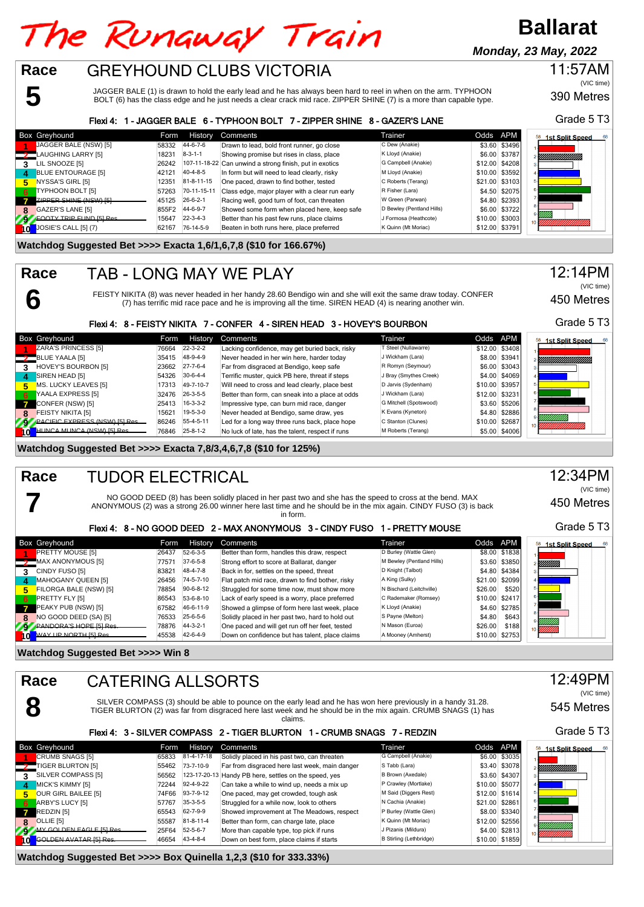# The Runaway Train

## **Ballarat**

**Monday, 23 May, 2022**

## GREYHOUND CLUBS VICTORIA **Race**

JAGGER BALE (1) is drawn to hold the early lead and he has always been hard to reel in when on the arm. TYPHOON BOLT (6) has the class edge and he just needs a clear crack mid race. ZIPPER SHINE (7) is a more than capable type.

## Flexi 4: 1 - JAGGER BALE 6 - TYPHOON BOLT 7 - ZIPPER SHINE 8 - GAZER'S LANE

|     | <b>Box Greyhound</b>            | Form  | History          | Comments                                                | Trainer                   | Odds APM |                | <b>1st Split Speed</b> |
|-----|---------------------------------|-------|------------------|---------------------------------------------------------|---------------------------|----------|----------------|------------------------|
|     | JAGGER BALE (NSW) [5]           | 58332 | 44-6-7-6         | Drawn to lead, bold front runner, go close              | C Dew (Anakie)            |          | \$3.60 \$3496  |                        |
|     | LAUGHING LARRY [5]              | 18231 | $8 - 3 - 1 - 1$  | Showing promise but rises in class, place               | K Lloyd (Anakie)          |          | \$6.00 \$3787  | YMMMMMMM               |
|     | LIL SNOOZE [5]                  | 26242 |                  | 107-11-18-22 Can unwind a strong finish, put in exotics | G Campbell (Anakie)       |          | \$12.00 \$4208 |                        |
| 4   | <b>BLUE ENTOURAGE [5]</b>       | 42121 | $40 - 4 - 8 - 5$ | In form but will need to lead clearly, risky            | M Lloyd (Anakie)          |          | \$10.00 \$3592 |                        |
| 5   | NYSSA'S GIRL [5]                | 12351 | 81-8-11-15       | One paced, drawn to find bother, tested                 | C Roberts (Terang)        |          | \$21.00 \$3103 |                        |
| 6   | TYPHOON BOLT [5]                | 57263 | 70-11-15-11      | Class edge, major player with a clear run early         | R Fisher (Lara)           |          | \$4.50 \$2075  |                        |
|     | <b>ZIPPER SHINE (NSW) [5]</b>   | 45125 | $26 - 6 - 2 - 1$ | Racing well, good turn of foot, can threaten            | W Green (Parwan)          |          | \$4.80 \$2393  |                        |
|     | GAZER'S LANE [5]                | 855F2 | 44-6-9-7         | Showed some form when placed here, keep safe            | D Bewley (Pentland Hills) |          | \$6.00 \$3722  |                        |
|     | <b>EQOTY TRIP FUND ISI Res.</b> | 15647 | $22 - 3 - 4 - 3$ | Better than his past few runs, place claims             | J Formosa (Heathcote)     |          | \$10.00 \$3003 | <u>UMB</u>             |
| l O | JOSIE'S CALL [5] (7)            | 62167 | 76-14-5-9        | Beaten in both runs here, place preferred               | K Quinn (Mt Moriac)       |          | \$12.00 \$3791 |                        |

## **Watchdog Suggested Bet >>>> Exacta 1,6/1,6,7,8 (\$10 for 166.67%)**

**5**

**6**

**7**

### TAB - LONG MAY WE PLAY **Race**

FEISTY NIKITA (8) was never headed in her handy 28.60 Bendigo win and she will exit the same draw today. CONFER (7) has terrific mid race pace and he is improving all the time. SIREN HEAD (4) is nearing another win.

## Flexi 4: 8 - FEISTY NIKITA 7 - CONFER 4 - SIREN HEAD 3 - HOVEY'S BOURBON

|              | <b>Box Greyhound</b>                  | Form  | History          | Comments                                         | Trainer                | Odds APM       | <b>1st Split Speed</b>         |
|--------------|---------------------------------------|-------|------------------|--------------------------------------------------|------------------------|----------------|--------------------------------|
|              | <b>ZARA'S PRINCESS [5]</b>            | 76664 | $22 - 3 - 2 - 2$ | Lacking confidence, may get buried back, risky   | T Steel (Nullawarre)   | \$12.00 \$3408 |                                |
|              | BLUE YAALA [5]                        | 35415 | 48-9-4-9         | Never headed in her win here, harder today       | J Wickham (Lara)       | \$8.00 \$3941  | ,,,,,,,,,,,,,,,,,,,,,,,,,,,,,, |
|              | HOVEY'S BOURBON [5]                   | 23662 | $27 - 7 - 6 - 4$ | Far from disgraced at Bendigo, keep safe         | R Romyn (Seymour)      | \$6.00 \$3043  |                                |
| $\mathbf{A}$ | SIREN HEAD [5]                        | 54326 | $30-6-4-4$       | Terrific muster, quick PB here, threat if steps  | J Bray (Smythes Creek) | \$4.00 \$4069  |                                |
| 5.           | MS. LUCKY LEAVES [5]                  | 17313 | 49-7-10-7        | Will need to cross and lead clearly, place best  | D Jarvis (Sydenham)    | \$10.00 \$3957 |                                |
| - 6          | YAALA EXPRESS [5]                     | 32476 | $26 - 3 - 5 - 5$ | Better than form, can sneak into a place at odds | J Wickham (Lara)       | \$12.00 \$3231 |                                |
|              | CONFER (NSW) [5]                      | 25413 | $16 - 3 - 3 - 2$ | Impressive type, can burn mid race, danger       | G Mitchell (Spotswood) | \$3.60 \$5206  |                                |
| 8            | FEISTY NIKITA [5]                     | 15621 | $19-5-3-0$       | Never headed at Bendigo, same draw, yes          | K Evans (Kyneton)      | \$4.80 \$2886  |                                |
| 79           | <b>PACIFIC EXPRESS (NSW) [5] Res.</b> | 86246 | 55-4-5-11        | Led for a long way three runs back, place hope   | C Stanton (Clunes)     | \$10.00 \$2687 |                                |
| 407          | HIINCA MIINCA (NSW) [5] Res           | 76846 | $25 - 8 - 1 - 2$ | No luck of late, has the talent, respect if runs | M Roberts (Terang)     | \$5.00 \$4006  |                                |

## **Watchdog Suggested Bet >>>> Exacta 7,8/3,4,6,7,8 (\$10 for 125%)**

### TUDOR ELECTRICAL **Race**

NO GOOD DEED (8) has been solidly placed in her past two and she has the speed to cross at the bend. MAX ANONYMOUS (2) was a strong 26.00 winner here last time and he should be in the mix again. CINDY FUSO (3) is back in form.

## Flexi 4: 8 - NO GOOD DEED 2 - MAX ANONYMOUS 3 - CINDY FUSO 1 - PRETTY MOUSE

|              | <b>Box Greyhound</b>    | Form  | History          | Comments                                         | Trainer                   | Odds APM |                | <b>1st Split Speed</b><br>58 |
|--------------|-------------------------|-------|------------------|--------------------------------------------------|---------------------------|----------|----------------|------------------------------|
|              | <b>PRETTY MOUSE [5]</b> | 26437 | 52-6-3-5         | Better than form, handles this draw, respect     | D Burley (Wattle Glen)    |          | \$8.00 \$1838  |                              |
|              | MAX ANONYMOUS [5]       | 77571 | $37-6-5-8$       | Strong effort to score at Ballarat, danger       | M Bewley (Pentland Hills) |          | \$3.60 \$3850  | <i>Millilli</i>              |
|              | CINDY FUSO [5]          | 83821 | 48-4-7-8         | Back in for, settles on the speed, threat        | D Knight (Talbot)         |          | \$4.80 \$4384  |                              |
| 4            | MAHOGANY QUEEN [5]      | 26456 | 74-5-7-10        | Flat patch mid race, drawn to find bother, risky | A King (Sulky)            |          | \$21.00 \$2099 |                              |
| 5.           | FILORGA BALE (NSW) [5]  | 78854 | $90-6-8-12$      | Struggled for some time now, must show more      | N Bischard (Leitchville)  | \$26.00  | \$520          |                              |
| -6           | PRETTY FLY [5]          | 86543 | 53-6-8-10        | Lack of early speed is a worry, place preferred  | C Rademaker (Romsey)      |          | \$10.00 \$2417 |                              |
| $\mathbf{z}$ | PEAKY PUB (NSW) [5]     | 67582 | 46-6-11-9        | Showed a glimpse of form here last week, place   | K Lloyd (Anakie)          |          | \$4.60 \$2785  |                              |
| 8            | NO GOOD DEED (SA) [5]   | 76533 | $25 - 6 - 5 - 6$ | Solidly placed in her past two, hard to hold out | S Payne (Melton)          | \$4.80   | \$643          |                              |
|              | PANDORA'S HOPE IS Res   | 78876 | $44 - 3 - 2 - 1$ | One paced and will get run off her feet, tested  | N Mason (Euroa)           | \$26.00  | \$188          | VIIIIII                      |
|              | MAY UP NORTH [5] Res    | 45538 | 42-6-4-9         | Down on confidence but has talent, place claims  | A Mooney (Amherst)        |          | \$10.00 \$2753 |                              |

## **Watchdog Suggested Bet >>>> Win 8**

| Race                          | <b>CATERING ALLSORTS</b>                                                                                                                                                                                                                    |       |                  |                                                                          |                                |                |                              |  |  |  |  |
|-------------------------------|---------------------------------------------------------------------------------------------------------------------------------------------------------------------------------------------------------------------------------------------|-------|------------------|--------------------------------------------------------------------------|--------------------------------|----------------|------------------------------|--|--|--|--|
|                               | SILVER COMPASS (3) should be able to pounce on the early lead and he has won here previously in a handy 31.28.<br>TIGER BLURTON (2) was far from disgraced here last week and he should be in the mix again. CRUMB SNAGS (1) has<br>claims. |       |                  |                                                                          |                                |                |                              |  |  |  |  |
|                               |                                                                                                                                                                                                                                             |       |                  | Flexi 4: 3 - SILVER COMPASS 2 - TIGER BLURTON 1 - CRUMB SNAGS 7 - REDZIN |                                |                | Grade 5 T3                   |  |  |  |  |
| Box Greyhound                 |                                                                                                                                                                                                                                             | Form  | History          | Comments                                                                 | Trainer                        | Odds APM       | 58<br><b>1st Split Speed</b> |  |  |  |  |
| CRUMB SNAGS [5]               |                                                                                                                                                                                                                                             | 65833 | 81-4-17-18       | Solidly placed in his past two, can threaten                             | G Campbell (Anakie)            | \$6.00 \$3035  |                              |  |  |  |  |
| TIGER BLURTON [5]             |                                                                                                                                                                                                                                             | 55462 | 73-7-10-9        | Far from disgraced here last week, main danger                           | S Tabb (Lara)                  | \$3.40 \$3078  | !!!!!!!!!!!!!!!!             |  |  |  |  |
| SILVER COMPASS [5]<br>3       |                                                                                                                                                                                                                                             | 56562 |                  | 123-17-20-13 Handy PB here, settles on the speed, yes                    | B Brown (Axedale)              | \$3.60 \$4307  |                              |  |  |  |  |
| MICK'S KIMMY [5]              |                                                                                                                                                                                                                                             | 72244 | 92-4-9-22        | Can take a while to wind up, needs a mix up                              | P Crawley (Mortlake)           | \$10.00 \$5077 |                              |  |  |  |  |
| OUR GIRL BAILEE [5]<br>к.     |                                                                                                                                                                                                                                             | 74F66 | 93-7-9-12        | One paced, may get crowded, tough ask                                    | M Said (Diggers Rest)          | \$12.00 \$1614 |                              |  |  |  |  |
| ARBY'S LUCY [5]<br>6          |                                                                                                                                                                                                                                             | 57767 | $35-3-5-5$       | Struggled for a while now, look to others                                | N Cachia (Anakie)              | \$21.00 \$2861 |                              |  |  |  |  |
| REDZIN [5]                    |                                                                                                                                                                                                                                             | 65543 | 62-7-9-9         | Showed improvement at The Meadows, respect                               | P Burley (Wattle Glen)         | \$8.00 \$3340  |                              |  |  |  |  |
| OLLIE [5]<br>$\mathbf{R}$     |                                                                                                                                                                                                                                             | 55587 | 81-8-11-4        | Better than form, can charge late, place                                 | K Quinn (Mt Moriac)            | \$12.00 \$2556 |                              |  |  |  |  |
| MY GOLDEN FAGLE [5] Res       |                                                                                                                                                                                                                                             | 25F64 | $52 - 5 - 6 - 7$ | More than capable type, top pick if runs                                 | J Pizanis (Mildura)            | \$4.00 \$2813  |                              |  |  |  |  |
| <b>COLDEN AVATAR [5] Res.</b> |                                                                                                                                                                                                                                             | 46654 | 43-4-8-4         | Down on best form, place claims if starts                                | <b>B Stirling (Lethbridge)</b> | \$10.00 \$1859 |                              |  |  |  |  |

**Watchdog Suggested Bet >>>> Box Quinella 1,2,3 (\$10 for 333.33%)**

## Grade 5 T3

390 Metres

(VIC time)

11:57AM



(VIC time)







12:34PM (VIC time)

450 Metres

Grade 5 T3

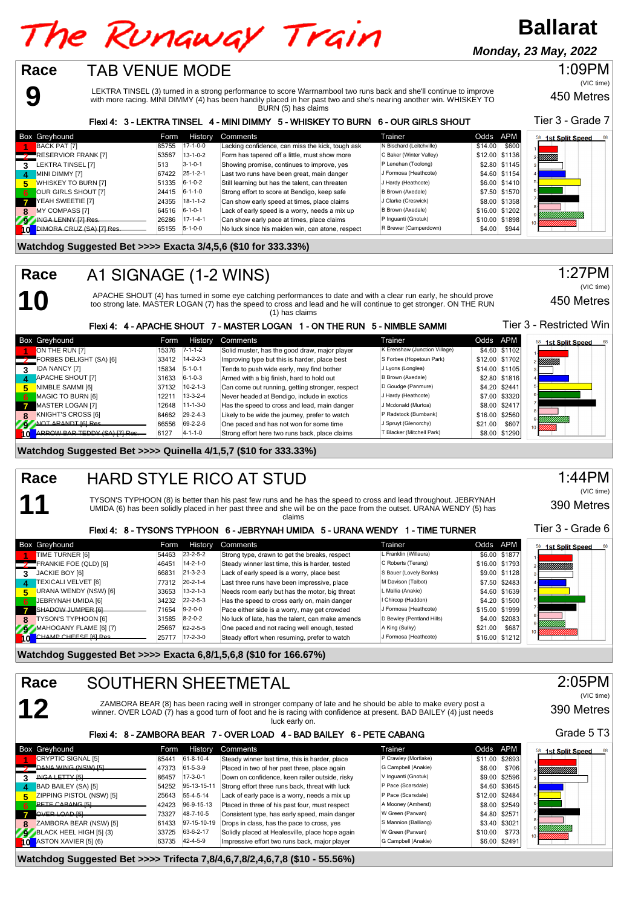# The Runaway Train

**Ballarat**

**Monday, 23 May, 2022**



450 Metres 1:09PM (VIC time)

BURN (5) has claims Flexi 4: 3 - LEKTRA TINSEL 4 - MINI DIMMY 5 - WHISKEY TO BURN 6 - OUR GIRLS SHOUT

Tier 3 - Grade 7

| Box Greyhound                   | Form  | History          | Comments                                         | Trainer                  | Odds APM         | <b>1st Split Speed</b> |
|---------------------------------|-------|------------------|--------------------------------------------------|--------------------------|------------------|------------------------|
| BACK PAT [7]                    | 85755 | $17-1-0-0$       | Lacking confidence, can miss the kick, tough ask | N Bischard (Leitchville) | \$600<br>\$14.00 |                        |
| <b>RESERVIOR FRANK [7]</b>      | 53567 | $13 - 1 - 0 - 2$ | Form has tapered off a little, must show more    | C Baker (Winter Valley)  | \$12.00 \$1136   | <b>Millis</b>          |
| LEKTRA TINSEL [7]               | 513   | $3 - 1 - 0 - 1$  | Showing promise, continues to improve, yes       | P Lenehan (Toolong)      | \$2.80 \$1145    |                        |
| MINI DIMMY [7]                  | 67422 | $25 - 1 - 2 - 1$ | Last two runs have been great, main danger       | J Formosa (Heathcote)    | \$4.60 \$1154    |                        |
| WHISKEY TO BURN [7]             | 51335 | $6 - 1 - 0 - 2$  | Still learning but has the talent, can threaten  | J Hardy (Heathcote)      | \$6.00 \$1410    |                        |
| OUR GIRLS SHOUT [7]<br>6        |       | 24415 6-1-1-0    | Strong effort to score at Bendigo, keep safe     | B Brown (Axedale)        | \$7.50 \$1570    |                        |
| YEAH SWEETIE [7]                | 24355 | $18 - 1 - 1 - 2$ | Can show early speed at times, place claims      | J Clarke (Creswick)      | \$8.00 \$1358    |                        |
| <b>MY COMPASS [7]</b><br>8      | 64516 | $6 - 1 - 0 - 1$  | Lack of early speed is a worry, needs a mix up   | B Brown (Axedale)        | \$16.00 \$1202   |                        |
| INGA LENNY [7] Res.             | 26286 | $17 - 1 - 4 - 1$ | Can show early pace at times, place claims       | P Inquanti (Gnotuk)      | \$10.00 \$1898   |                        |
| <b>DIMORA CRUZ (SA) [7] Ros</b> |       | 65155 5-1-0-0    | No luck since his maiden win, can atone, respect | R Brewer (Camperdown)    | \$4.00<br>\$944  |                        |

## **Watchdog Suggested Bet >>>> Exacta 3/4,5,6 (\$10 for 333.33%)**

## A1 SIGNAGE (1-2 WINS) **Race**

**10**

**11**

**12**

APACHE SHOUT (4) has turned in some eye catching performances to date and with a clear run early, he should prove too strong late. MASTER LOGAN (7) has the speed to cross and lead and he will continue to get stronger. ON THE RUN (1) has claims

## 450 Metres (VIC time)

Tier 3 - Restricted Win

1:27PM

## Flexi 4: 4 - APACHE SHOUT 7 - MASTER LOGAN 1 - ON THE RUN 5 - NIMBLE SAMMI

|    | <b>Box Greyhound</b>         | Form  | <b>History</b>   | Comments                                        | Trainer                       | Odds APM |                | <b>1st Split Speed</b><br>68 |
|----|------------------------------|-------|------------------|-------------------------------------------------|-------------------------------|----------|----------------|------------------------------|
|    | ON THE RUN [7]               | 15376 | $7 - 1 - 1 - 2$  | Solid muster, has the good draw, major player   | K Erenshaw (Junction Village) |          | \$4.60 \$1102  |                              |
|    | FORBES DELIGHT (SA) [6]      | 33412 | $14 - 2 - 2 - 3$ | Improving type but this is harder, place best   | S Forbes (Hopetoun Park)      |          | \$12.00 \$1702 | <b>Millilli</b> n            |
|    | <b>IDA NANCY [7]</b>         | 15834 | $5 - 1 - 0 - 1$  | Tends to push wide early, may find bother       | J Lyons (Longlea)             |          | \$14.00 \$1105 |                              |
| 4  | <b>APACHE SHOUT [7]</b>      | 31633 | $6 - 1 - 0 - 3$  | Armed with a big finish, hard to hold out       | B Brown (Axedale)             |          | \$2.80 \$1816  |                              |
| 5. | NIMBLE SAMMI [6]             | 37132 | $10 - 2 - 1 - 3$ | Can come out running, getting stronger, respect | D Goudge (Panmure)            |          | \$4.20 \$2441  |                              |
| 6. | MAGIC TO BURN [6]            | 12211 | $13-3-2-4$       | Never headed at Bendigo, include in exotics     | J Hardy (Heathcote)           |          | \$7.00 \$3320  |                              |
|    | MASTER LOGAN [7]             | 12648 | $11 - 1 - 3 - 0$ | Has the speed to cross and lead, main danger    | J Mcdonald (Murtoa)           |          | \$8.00 \$2417  |                              |
|    | KNIGHT'S CROSS [6]           | 84662 | $29 - 2 - 4 - 3$ | Likely to be wide the journey, prefer to watch  | P Radstock (Burnbank)         |          | \$16.00 \$2560 |                              |
|    | NOT ARANDT ISI Res.          | 66556 | 69-2-2-6         | One paced and has not won for some time         | J Spruyt (Glenorchy)          | \$21.00  | \$607          |                              |
|    | ARROW RAR TEDDY (SA) [7] Res | 6127  | $4 - 1 - 1 - 0$  | Strong effort here two runs back, place claims  | T Blacker (Mitchell Park)     |          | \$8.00 \$1290  |                              |

## **Watchdog Suggested Bet >>>> Quinella 4/1,5,7 (\$10 for 333.33%)**

### HARD STYLE RICO AT STUD **Race**

TYSON'S TYPHOON (8) is better than his past few runs and he has the speed to cross and lead throughout. JEBRYNAH UMIDA (6) has been solidly placed in her past three and she will be on the pace from the outset. URANA WENDY (5) has claims

## Flexi 4: 8 - TYSON'S TYPHOON 6 - JEBRYNAH UMIDA 5 - URANA WENDY 1 - TIME TURNER

|                  | <b>Box Greyhound</b>       | Form  | History          | Comments                                         | Trainer                   | Odds APM       |       | <b>1st Split Speed</b><br>58 |
|------------------|----------------------------|-------|------------------|--------------------------------------------------|---------------------------|----------------|-------|------------------------------|
|                  | TIME TURNER [6]            | 54463 | $23 - 2 - 5 - 2$ | Strong type, drawn to get the breaks, respect    | L Franklin (Willaura)     | \$6.00 \$1877  |       |                              |
|                  | FRANKIE FOE (QLD) [6]      | 46451 | $14 - 2 - 1 - 0$ | Steady winner last time, this is harder, tested  | C Roberts (Terang)        | \$16.00 \$1793 |       | YMMMMM                       |
|                  | JACKIE BOY [6]             | 66831 | $21 - 3 - 2 - 3$ | Lack of early speed is a worry, place best       | S Bauer (Lovely Banks)    | \$9.00 \$1128  |       |                              |
| $\boldsymbol{A}$ | <b>TEXICALI VELVET [6]</b> | 77312 | $20 - 2 - 1 - 4$ | Last three runs have been impressive, place      | M Davison (Talbot)        | \$7.50 \$2483  |       |                              |
| 5                | URANA WENDY (NSW) [6]      | 33653 | $13 - 2 - 1 - 3$ | Needs room early but has the motor, big threat   | L Mallia (Anakie)         | \$4.60 \$1639  |       |                              |
| - 6              | JEBRYNAH UMIDA [6]         | 34232 | $22 - 2 - 5 - 3$ | Has the speed to cross early on, main danger     | I Chircop (Haddon)        | \$4.20 \$1500  |       |                              |
|                  | SHADOW JUMPER [6]          | 71654 | $9 - 2 - 0 - 0$  | Pace either side is a worry, may get crowded     | J Formosa (Heathcote)     | \$15.00 \$1999 |       |                              |
| 8                | TYSON'S TYPHOON [6]        | 31585 | $8 - 2 - 0 - 2$  | No luck of late, has the talent, can make amends | D Bewley (Pentland Hills) | \$4.00 \$2083  |       |                              |
|                  | MAHOGANY FLAME [6] (7)     | 25667 | 62-2-5-5         | One paced and not racing well enough, tested     | A King (Sulky)            | \$21.00        | \$687 |                              |
| A OF             | CHAMP CHEESE [6] Res       | 257T7 | $17 - 2 - 3 - 0$ | Steady effort when resuming, prefer to watch     | J Formosa (Heathcote)     | \$16.00 \$1212 |       |                              |

**Watchdog Suggested Bet >>>> Exacta 6,8/1,5,6,8 (\$10 for 166.67%)**

## SOUTHERN SHEETMETAL **Race**

ZAMBORA BEAR (8) has been racing well in stronger company of late and he should be able to make every post a winner. OVER LOAD (7) has a good turn of foot and he is racing with confidence at present. BAD BAILEY (4) just needs luck early on.

## Flexi 4: 8 - ZAMBORA BEAR 7 - OVER LOAD 4 - BAD BAILEY 6 - PETE CABANG

| Box Greyhound               | Form  | History     | <b>Comments</b>                                 | Trainer              | Odds APM       |               | <b>1st Split Speed</b><br>68 |
|-----------------------------|-------|-------------|-------------------------------------------------|----------------------|----------------|---------------|------------------------------|
| CRYPTIC SIGNAL [5]          | 85441 | 61-8-10-4   | Steady winner last time, this is harder, place  | P Crawley (Mortlake) | \$11.00 \$2693 |               |                              |
| DANA WING (NSW) [5]         | 47373 | 61-5-3-9    | Placed in two of her past three, place again    | G Campbell (Anakie)  | \$6.00         | \$706         | YMMMMM).                     |
| <b>INGA LETTY ISL</b>       | 86457 | $17-3-0-1$  | Down on confidence, keen railer outside, risky  | V Inguanti (Gnotuk)  |                | \$9.00 \$2596 |                              |
| BAD BAILEY (SA) [5]         | 54252 | 95-13-15-11 | Strong effort three runs back, threat with luck | P Pace (Scarsdale)   |                | \$4.60 \$3645 |                              |
| ZIPPING PISTOL (NSW) [5]    | 25643 | 55-4-5-14   | Lack of early pace is a worry, needs a mix up   | P Pace (Scarsdale)   | \$12.00 \$2484 |               |                              |
| <b>PETE CABANG ISL</b>      | 42423 | 96-9-15-13  | Placed in three of his past four, must respect  | A Mooney (Amherst)   |                | \$8.00 \$2549 |                              |
| OVER LOAD [5]               | 73327 | 48-7-10-5   | Consistent type, has early speed, main danger   | W Green (Parwan)     |                | \$4.80 \$2571 |                              |
| ZAMBORA BEAR (NSW) [5]      | 61433 | 97-15-10-19 | Drops in class, has the pace to cross, yes      | S Mannion (Balliang) |                | \$3.40 \$3021 |                              |
| $9$ BLACK HEEL HIGH [5] (3) | 33725 | 63-6-2-17   | Solidly placed at Healesville, place hope again | W Green (Parwan)     | \$10.00        | \$773         |                              |
| ASTON XAVIER [5] (6)        | 63735 | 42-4-5-9    | Impressive effort two runs back, major player   | G Campbell (Anakie)  |                | \$6.00 \$2491 |                              |

**Watchdog Suggested Bet >>>> Trifecta 7,8/4,6,7,8/2,4,6,7,8 (\$10 - 55.56%)**

## 1:44PM (VIC time)

390 Metres

Tier 3 - Grade 6



390 Metres (VIC time)

Grade 5 T3

2:05PM